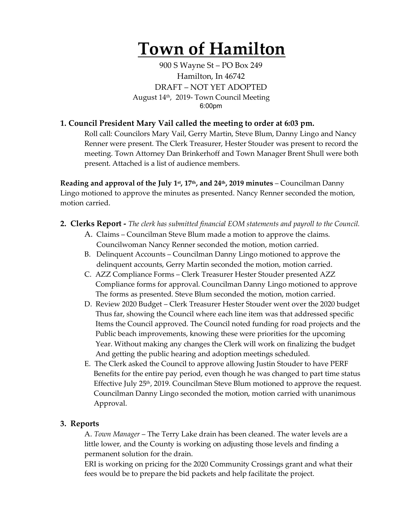# **Town of Hamilton**

900 S Wayne St – PO Box 249 Hamilton, In 46742 DRAFT – NOT YET ADOPTED August 14th, 2019- Town Council Meeting 6:00pm

#### **1. Council President Mary Vail called the meeting to order at 6:03 pm.**

Roll call: Councilors Mary Vail, Gerry Martin, Steve Blum, Danny Lingo and Nancy Renner were present. The Clerk Treasurer, Hester Stouder was present to record the meeting. Town Attorney Dan Brinkerhoff and Town Manager Brent Shull were both present. Attached is a list of audience members.

**Reading and approval of the July 1st, 17th, and 24th, 2019 minutes** – Councilman Danny Lingo motioned to approve the minutes as presented. Nancy Renner seconded the motion, motion carried.

- **2. Clerks Report -** *The clerk has submitted financial EOM statements and payroll to the Council.* 
	- A. Claims Councilman Steve Blum made a motion to approve the claims. Councilwoman Nancy Renner seconded the motion, motion carried.
	- B. Delinquent Accounts Councilman Danny Lingo motioned to approve the delinquent accounts, Gerry Martin seconded the motion, motion carried.
	- C. AZZ Compliance Forms Clerk Treasurer Hester Stouder presented AZZ Compliance forms for approval. Councilman Danny Lingo motioned to approve The forms as presented. Steve Blum seconded the motion, motion carried.
	- D. Review 2020 Budget Clerk Treasurer Hester Stouder went over the 2020 budget Thus far, showing the Council where each line item was that addressed specific Items the Council approved. The Council noted funding for road projects and the Public beach improvements, knowing these were priorities for the upcoming Year. Without making any changes the Clerk will work on finalizing the budget And getting the public hearing and adoption meetings scheduled.
	- E. The Clerk asked the Council to approve allowing Justin Stouder to have PERF Benefits for the entire pay period, even though he was changed to part time status Effective July 25<sup>th</sup>, 2019. Councilman Steve Blum motioned to approve the request. Councilman Danny Lingo seconded the motion, motion carried with unanimous Approval.

#### **3. Reports**

A. *Town Manager* – The Terry Lake drain has been cleaned. The water levels are a little lower, and the County is working on adjusting those levels and finding a permanent solution for the drain.

ERI is working on pricing for the 2020 Community Crossings grant and what their fees would be to prepare the bid packets and help facilitate the project.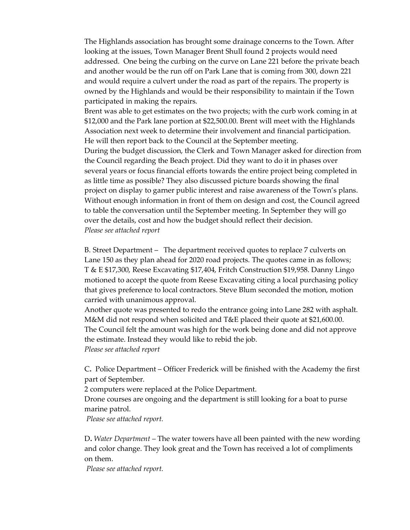The Highlands association has brought some drainage concerns to the Town. After looking at the issues, Town Manager Brent Shull found 2 projects would need addressed. One being the curbing on the curve on Lane 221 before the private beach and another would be the run off on Park Lane that is coming from 300, down 221 and would require a culvert under the road as part of the repairs. The property is owned by the Highlands and would be their responsibility to maintain if the Town participated in making the repairs.

Brent was able to get estimates on the two projects; with the curb work coming in at \$12,000 and the Park lane portion at \$22,500.00. Brent will meet with the Highlands Association next week to determine their involvement and financial participation. He will then report back to the Council at the September meeting.

During the budget discussion, the Clerk and Town Manager asked for direction from the Council regarding the Beach project. Did they want to do it in phases over several years or focus financial efforts towards the entire project being completed in as little time as possible? They also discussed picture boards showing the final project on display to garner public interest and raise awareness of the Town's plans. Without enough information in front of them on design and cost, the Council agreed to table the conversation until the September meeting. In September they will go over the details, cost and how the budget should reflect their decision. *Please see attached report*

B. Street Department – The department received quotes to replace 7 culverts on Lane 150 as they plan ahead for 2020 road projects. The quotes came in as follows; T & E \$17,300, Reese Excavating \$17,404, Fritch Construction \$19,958. Danny Lingo motioned to accept the quote from Reese Excavating citing a local purchasing policy that gives preference to local contractors. Steve Blum seconded the motion, motion carried with unanimous approval.

Another quote was presented to redo the entrance going into Lane 282 with asphalt. M&M did not respond when solicited and T&E placed their quote at \$21,600.00. The Council felt the amount was high for the work being done and did not approve the estimate. Instead they would like to rebid the job.

*Please see attached report*

C**.** Police Department – Officer Frederick will be finished with the Academy the first part of September.

2 computers were replaced at the Police Department.

Drone courses are ongoing and the department is still looking for a boat to purse marine patrol.

*Please see attached report.*

D**.** *Water Department* – The water towers have all been painted with the new wording and color change. They look great and the Town has received a lot of compliments on them.

*Please see attached report.*